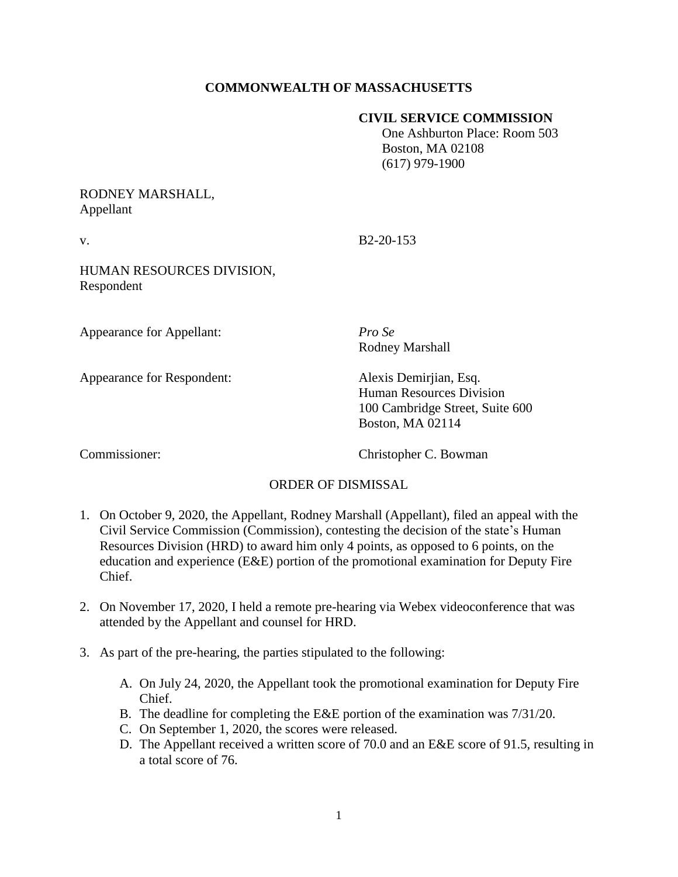# **COMMONWEALTH OF MASSACHUSETTS**

#### **CIVIL SERVICE COMMISSION**

 One Ashburton Place: Room 503 Boston, MA 02108 (617) 979-1900

## RODNEY MARSHALL, Appellant

v. B2-20-153

HUMAN RESOURCES DIVISION, Respondent

Appearance for Appellant: *Pro Se*

Appearance for Respondent: Alexis Demirjian, Esq.

Rodney Marshall

Human Resources Division 100 Cambridge Street, Suite 600 Boston, MA 02114

Commissioner: Christopher C. Bowman

### ORDER OF DISMISSAL

- 1. On October 9, 2020, the Appellant, Rodney Marshall (Appellant), filed an appeal with the Civil Service Commission (Commission), contesting the decision of the state's Human Resources Division (HRD) to award him only 4 points, as opposed to 6 points, on the education and experience (E&E) portion of the promotional examination for Deputy Fire Chief.
- 2. On November 17, 2020, I held a remote pre-hearing via Webex videoconference that was attended by the Appellant and counsel for HRD.
- 3. As part of the pre-hearing, the parties stipulated to the following:
	- A. On July 24, 2020, the Appellant took the promotional examination for Deputy Fire Chief.
	- B. The deadline for completing the E&E portion of the examination was 7/31/20.
	- C. On September 1, 2020, the scores were released.
	- D. The Appellant received a written score of 70.0 and an E&E score of 91.5, resulting in a total score of 76.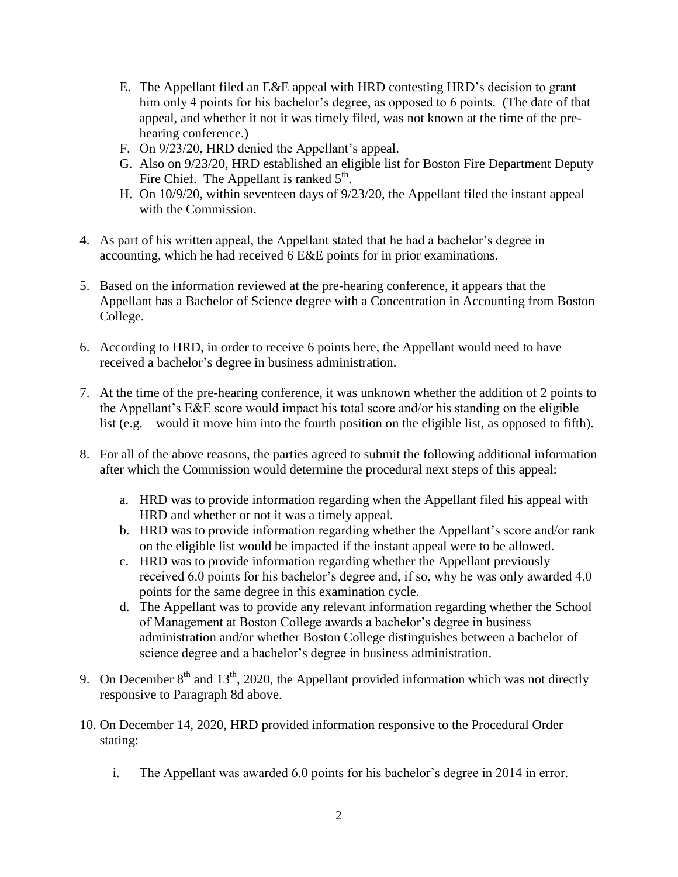- E. The Appellant filed an E&E appeal with HRD contesting HRD's decision to grant him only 4 points for his bachelor's degree, as opposed to 6 points. (The date of that appeal, and whether it not it was timely filed, was not known at the time of the prehearing conference.)
- F. On 9/23/20, HRD denied the Appellant's appeal.
- G. Also on 9/23/20, HRD established an eligible list for Boston Fire Department Deputy Fire Chief. The Appellant is ranked  $5<sup>th</sup>$ .
- H. On 10/9/20, within seventeen days of 9/23/20, the Appellant filed the instant appeal with the Commission.
- 4. As part of his written appeal, the Appellant stated that he had a bachelor's degree in accounting, which he had received 6 E&E points for in prior examinations.
- 5. Based on the information reviewed at the pre-hearing conference, it appears that the Appellant has a Bachelor of Science degree with a Concentration in Accounting from Boston College.
- 6. According to HRD, in order to receive 6 points here, the Appellant would need to have received a bachelor's degree in business administration.
- 7. At the time of the pre-hearing conference, it was unknown whether the addition of 2 points to the Appellant's E&E score would impact his total score and/or his standing on the eligible list (e.g. – would it move him into the fourth position on the eligible list, as opposed to fifth).
- 8. For all of the above reasons, the parties agreed to submit the following additional information after which the Commission would determine the procedural next steps of this appeal:
	- a. HRD was to provide information regarding when the Appellant filed his appeal with HRD and whether or not it was a timely appeal.
	- b. HRD was to provide information regarding whether the Appellant's score and/or rank on the eligible list would be impacted if the instant appeal were to be allowed.
	- c. HRD was to provide information regarding whether the Appellant previously received 6.0 points for his bachelor's degree and, if so, why he was only awarded 4.0 points for the same degree in this examination cycle.
	- d. The Appellant was to provide any relevant information regarding whether the School of Management at Boston College awards a bachelor's degree in business administration and/or whether Boston College distinguishes between a bachelor of science degree and a bachelor's degree in business administration.
- 9. On December  $8<sup>th</sup>$  and  $13<sup>th</sup>$ , 2020, the Appellant provided information which was not directly responsive to Paragraph 8d above.
- 10. On December 14, 2020, HRD provided information responsive to the Procedural Order stating:
	- i. The Appellant was awarded 6.0 points for his bachelor's degree in 2014 in error.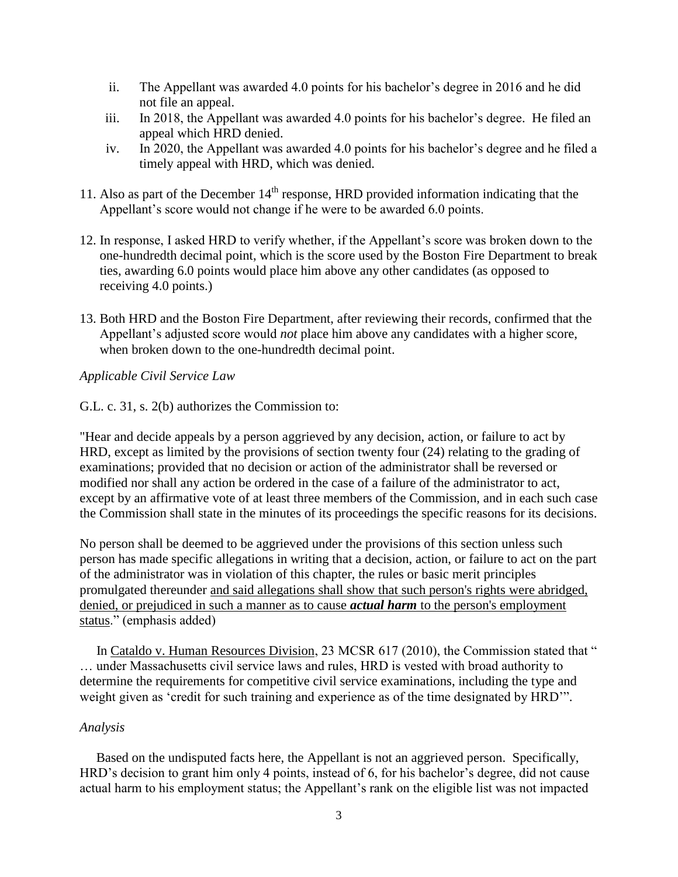- ii. The Appellant was awarded 4.0 points for his bachelor's degree in 2016 and he did not file an appeal.
- iii. In 2018, the Appellant was awarded 4.0 points for his bachelor's degree. He filed an appeal which HRD denied.
- iv. In 2020, the Appellant was awarded 4.0 points for his bachelor's degree and he filed a timely appeal with HRD, which was denied.
- 11. Also as part of the December  $14<sup>th</sup>$  response, HRD provided information indicating that the Appellant's score would not change if he were to be awarded 6.0 points.
- 12. In response, I asked HRD to verify whether, if the Appellant's score was broken down to the one-hundredth decimal point, which is the score used by the Boston Fire Department to break ties, awarding 6.0 points would place him above any other candidates (as opposed to receiving 4.0 points.)
- 13. Both HRD and the Boston Fire Department, after reviewing their records, confirmed that the Appellant's adjusted score would *not* place him above any candidates with a higher score, when broken down to the one-hundredth decimal point.

### *Applicable Civil Service Law*

G.L. c. 31, s. 2(b) authorizes the Commission to:

"Hear and decide appeals by a person aggrieved by any decision, action, or failure to act by HRD, except as limited by the provisions of section twenty four (24) relating to the grading of examinations; provided that no decision or action of the administrator shall be reversed or modified nor shall any action be ordered in the case of a failure of the administrator to act, except by an affirmative vote of at least three members of the Commission, and in each such case the Commission shall state in the minutes of its proceedings the specific reasons for its decisions.

No person shall be deemed to be aggrieved under the provisions of this section unless such person has made specific allegations in writing that a decision, action, or failure to act on the part of the administrator was in violation of this chapter, the rules or basic merit principles promulgated thereunder and said allegations shall show that such person's rights were abridged, denied, or prejudiced in such a manner as to cause *actual harm* to the person's employment status." (emphasis added)

 In Cataldo v. Human Resources Division, 23 MCSR 617 (2010), the Commission stated that " … under Massachusetts civil service laws and rules, HRD is vested with broad authority to determine the requirements for competitive civil service examinations, including the type and weight given as 'credit for such training and experience as of the time designated by HRD'".

### *Analysis*

 Based on the undisputed facts here, the Appellant is not an aggrieved person. Specifically, HRD's decision to grant him only 4 points, instead of 6, for his bachelor's degree, did not cause actual harm to his employment status; the Appellant's rank on the eligible list was not impacted